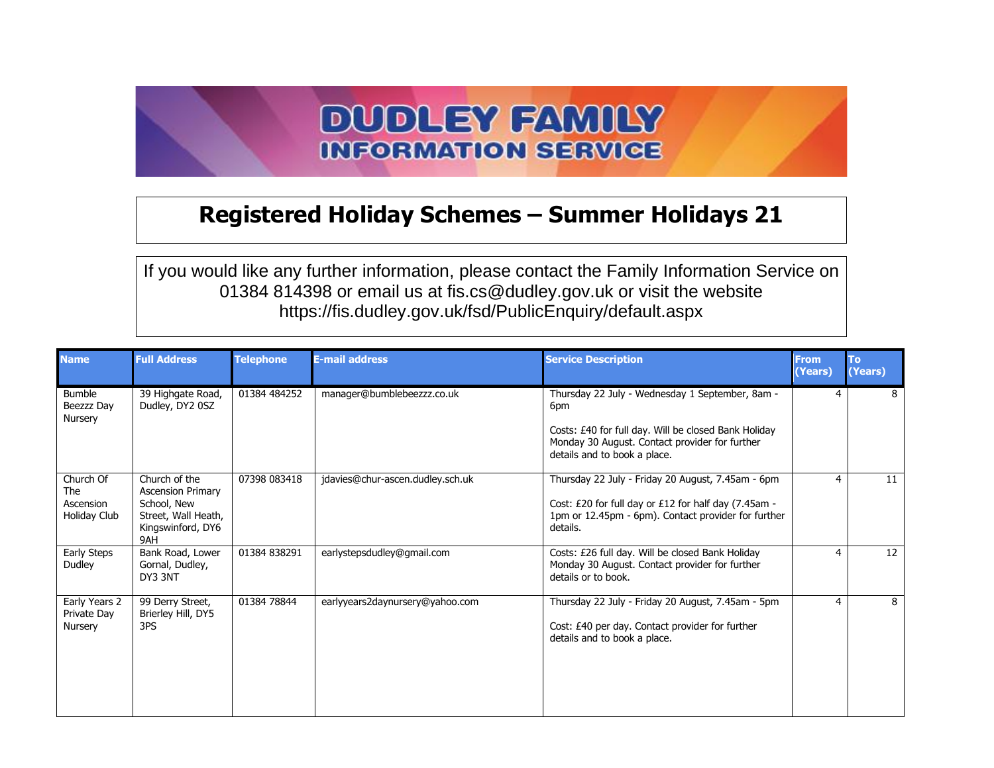## **DUDLEY FAMILY INFORMATION SERVICE**

## **Registered Holiday Schemes – Summer Holidays 21**

If you would like any further information, please contact the Family Information Service on 01384 814398 or email us at fis.cs@dudley.gov.uk or visit the website https://fis.dudley.gov.uk/fsd/PublicEnquiry/default.aspx

| <b>Name</b>                                          | <b>Full Address</b>                                                                                         | <b>Telephone</b> | <b>E-mail address</b>            | <b>Service Description</b>                                                                                                                                                                       | <b>From</b><br>(Years) | To<br>(Years) |
|------------------------------------------------------|-------------------------------------------------------------------------------------------------------------|------------------|----------------------------------|--------------------------------------------------------------------------------------------------------------------------------------------------------------------------------------------------|------------------------|---------------|
| <b>Bumble</b><br>Beezzz Day<br>Nursery               | 39 Highgate Road,<br>Dudley, DY2 0SZ                                                                        | 01384 484252     | manager@bumblebeezzz.co.uk       | Thursday 22 July - Wednesday 1 September, 8am -<br>6pm<br>Costs: £40 for full day. Will be closed Bank Holiday<br>Monday 30 August. Contact provider for further<br>details and to book a place. | 4                      | 8             |
| Church Of<br><b>The</b><br>Ascension<br>Holiday Club | Church of the<br><b>Ascension Primary</b><br>School, New<br>Street, Wall Heath,<br>Kingswinford, DY6<br>9AH | 07398 083418     | jdavies@chur-ascen.dudley.sch.uk | Thursday 22 July - Friday 20 August, 7.45am - 6pm<br>Cost: £20 for full day or £12 for half day (7.45am -<br>1pm or 12.45pm - 6pm). Contact provider for further<br>details.                     | 4                      | 11            |
| Early Steps<br>Dudley                                | Bank Road, Lower<br>Gornal, Dudley,<br>DY3 3NT                                                              | 01384 838291     | earlystepsdudley@gmail.com       | Costs: £26 full day. Will be closed Bank Holiday<br>Monday 30 August. Contact provider for further<br>details or to book.                                                                        | 4                      | 12            |
| Early Years 2<br>Private Day<br>Nursery              | 99 Derry Street,<br>Brierley Hill, DY5<br>3PS                                                               | 01384 78844      | earlyyears2daynursery@yahoo.com  | Thursday 22 July - Friday 20 August, 7.45am - 5pm<br>Cost: £40 per day. Contact provider for further<br>details and to book a place.                                                             | 4                      | 8             |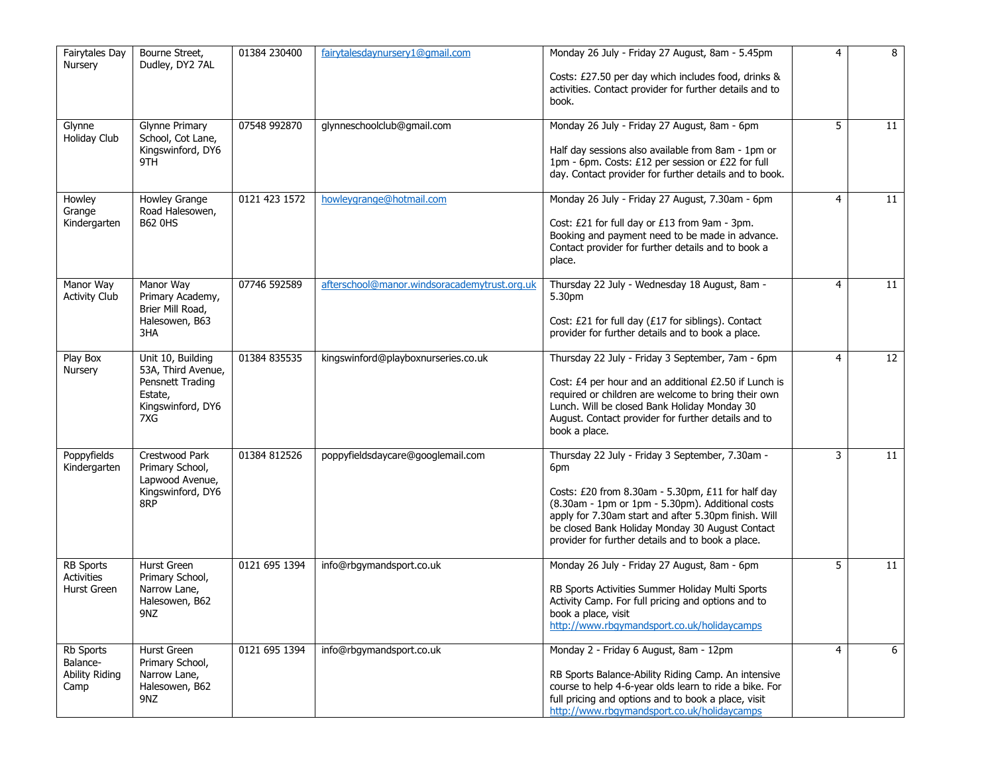| <b>Fairytales Day</b><br>Nursery                       | Bourne Street,<br>Dudley, DY2 7AL                                                                  | 01384 230400  | fairytalesdaynursery1@qmail.com              | Monday 26 July - Friday 27 August, 8am - 5.45pm<br>Costs: £27.50 per day which includes food, drinks &<br>activities. Contact provider for further details and to<br>book.                                                                                                                                                      | 4              | 8  |
|--------------------------------------------------------|----------------------------------------------------------------------------------------------------|---------------|----------------------------------------------|---------------------------------------------------------------------------------------------------------------------------------------------------------------------------------------------------------------------------------------------------------------------------------------------------------------------------------|----------------|----|
| Glynne<br>Holiday Club                                 | Glynne Primary<br>School, Cot Lane,<br>Kingswinford, DY6<br>9TH                                    | 07548 992870  | glynneschoolclub@gmail.com                   | Monday 26 July - Friday 27 August, 8am - 6pm<br>Half day sessions also available from 8am - 1pm or<br>1pm - 6pm. Costs: £12 per session or £22 for full<br>day. Contact provider for further details and to book.                                                                                                               | 5              | 11 |
| Howley<br>Grange<br>Kindergarten                       | Howley Grange<br>Road Halesowen,<br><b>B62 0HS</b>                                                 | 0121 423 1572 | howleygrange@hotmail.com                     | Monday 26 July - Friday 27 August, 7.30am - 6pm<br>Cost: £21 for full day or £13 from 9am - 3pm.<br>Booking and payment need to be made in advance.<br>Contact provider for further details and to book a<br>place.                                                                                                             | 4              | 11 |
| Manor Way<br><b>Activity Club</b>                      | Manor Way<br>Primary Academy,<br>Brier Mill Road,<br>Halesowen, B63<br>3HA                         | 07746 592589  | afterschool@manor.windsoracademytrust.org.uk | Thursday 22 July - Wednesday 18 August, 8am -<br>5.30pm<br>Cost: £21 for full day (£17 for siblings). Contact<br>provider for further details and to book a place.                                                                                                                                                              | 4              | 11 |
| Play Box<br>Nursery                                    | Unit 10, Building<br>53A, Third Avenue,<br>Pensnett Trading<br>Estate,<br>Kingswinford, DY6<br>7XG | 01384 835535  | kingswinford@playboxnurseries.co.uk          | Thursday 22 July - Friday 3 September, 7am - 6pm<br>Cost: £4 per hour and an additional £2.50 if Lunch is<br>required or children are welcome to bring their own<br>Lunch. Will be closed Bank Holiday Monday 30<br>August. Contact provider for further details and to<br>book a place.                                        | 4              | 12 |
| Poppyfields<br>Kindergarten                            | Crestwood Park<br>Primary School,<br>Lapwood Avenue,<br>Kingswinford, DY6<br>8RP                   | 01384 812526  | poppyfieldsdaycare@googlemail.com            | Thursday 22 July - Friday 3 September, 7.30am -<br>6pm<br>Costs: £20 from 8.30am - 5.30pm, £11 for half day<br>(8.30am - 1pm or 1pm - 5.30pm). Additional costs<br>apply for 7.30am start and after 5.30pm finish. Will<br>be closed Bank Holiday Monday 30 August Contact<br>provider for further details and to book a place. | 3              | 11 |
| <b>RB Sports</b><br><b>Activities</b><br>Hurst Green   | Hurst Green<br>Primary School,<br>Narrow Lane,<br>Halesowen, B62<br>9NZ                            | 0121 695 1394 | info@rbgymandsport.co.uk                     | Monday 26 July - Friday 27 August, 8am - 6pm<br>RB Sports Activities Summer Holiday Multi Sports<br>Activity Camp. For full pricing and options and to<br>book a place, visit<br>http://www.rbgymandsport.co.uk/holidaycamps                                                                                                    | 5              | 11 |
| Rb Sports<br>Balance-<br><b>Ability Riding</b><br>Camp | Hurst Green<br>Primary School,<br>Narrow Lane,<br>Halesowen, B62<br>9NZ                            | 0121 695 1394 | info@rbgymandsport.co.uk                     | Monday 2 - Friday 6 August, 8am - 12pm<br>RB Sports Balance-Ability Riding Camp. An intensive<br>course to help 4-6-year olds learn to ride a bike. For<br>full pricing and options and to book a place, visit<br>http://www.rbgymandsport.co.uk/holidaycamps                                                                   | $\overline{4}$ | 6  |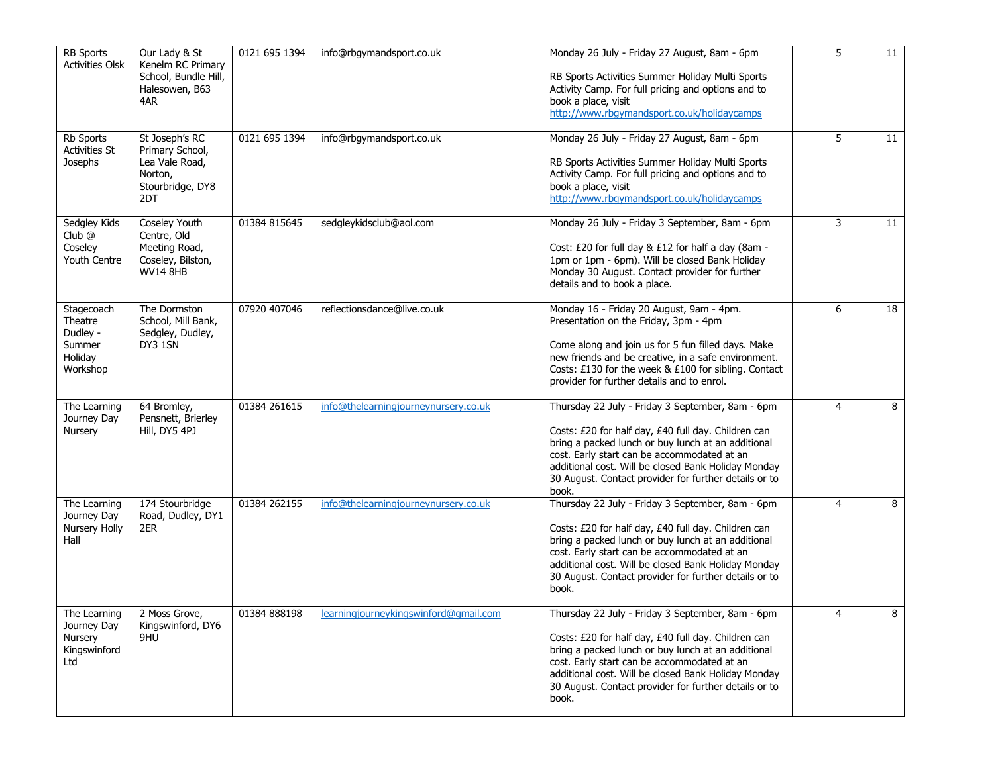| <b>RB Sports</b><br><b>Activities Olsk</b>                         | Our Lady & St<br>Kenelm RC Primary<br>School, Bundle Hill,<br>Halesowen, B63<br>4AR          | 0121 695 1394 | info@rbgymandsport.co.uk              | Monday 26 July - Friday 27 August, 8am - 6pm<br>RB Sports Activities Summer Holiday Multi Sports<br>Activity Camp. For full pricing and options and to<br>book a place, visit<br>http://www.rbgymandsport.co.uk/holidaycamps                                                                                                          | 5 | $\overline{11}$ |
|--------------------------------------------------------------------|----------------------------------------------------------------------------------------------|---------------|---------------------------------------|---------------------------------------------------------------------------------------------------------------------------------------------------------------------------------------------------------------------------------------------------------------------------------------------------------------------------------------|---|-----------------|
| Rb Sports<br><b>Activities St</b><br>Josephs                       | St Joseph's RC<br>Primary School,<br>Lea Vale Road,<br>Norton,<br>Stourbridge, DY8<br>2DT    | 0121 695 1394 | info@rbgymandsport.co.uk              | Monday 26 July - Friday 27 August, 8am - 6pm<br>RB Sports Activities Summer Holiday Multi Sports<br>Activity Camp. For full pricing and options and to<br>book a place, visit<br>http://www.rbgymandsport.co.uk/holidaycamps                                                                                                          | 5 | 11              |
| Sedgley Kids<br>$Club$ $@$<br>Coseley<br>Youth Centre              | <b>Coseley Youth</b><br>Centre, Old<br>Meeting Road,<br>Coseley, Bilston,<br><b>WV14 8HB</b> | 01384 815645  | sedgleykidsclub@aol.com               | Monday 26 July - Friday 3 September, 8am - 6pm<br>Cost: £20 for full day & £12 for half a day (8am -<br>1pm or 1pm - 6pm). Will be closed Bank Holiday<br>Monday 30 August. Contact provider for further<br>details and to book a place.                                                                                              | 3 | 11              |
| Stagecoach<br>Theatre<br>Dudley -<br>Summer<br>Holiday<br>Workshop | The Dormston<br>School, Mill Bank,<br>Sedgley, Dudley,<br>DY3 1SN                            | 07920 407046  | reflectionsdance@live.co.uk           | Monday 16 - Friday 20 August, 9am - 4pm.<br>Presentation on the Friday, 3pm - 4pm<br>Come along and join us for 5 fun filled days. Make<br>new friends and be creative, in a safe environment.<br>Costs: £130 for the week & £100 for sibling. Contact<br>provider for further details and to enrol.                                  | 6 | 18              |
| The Learning<br>Journey Day<br>Nursery                             | 64 Bromley,<br>Pensnett, Brierley<br>Hill, DY5 4PJ                                           | 01384 261615  | info@thelearningjourneynursery.co.uk  | Thursday 22 July - Friday 3 September, 8am - 6pm<br>Costs: £20 for half day, £40 full day. Children can<br>bring a packed lunch or buy lunch at an additional<br>cost. Early start can be accommodated at an<br>additional cost. Will be closed Bank Holiday Monday<br>30 August. Contact provider for further details or to<br>book. | 4 | 8               |
| The Learning<br>Journey Day<br>Nursery Holly<br>Hall               | 174 Stourbridge<br>Road, Dudley, DY1<br>2ER                                                  | 01384 262155  | info@thelearningjourneynursery.co.uk  | Thursday 22 July - Friday 3 September, 8am - 6pm<br>Costs: £20 for half day, £40 full day. Children can<br>bring a packed lunch or buy lunch at an additional<br>cost. Early start can be accommodated at an<br>additional cost. Will be closed Bank Holiday Monday<br>30 August. Contact provider for further details or to<br>book. | 4 | 8               |
| The Learning<br>Journey Day<br>Nursery<br>Kingswinford<br>Ltd      | 2 Moss Grove,<br>Kingswinford, DY6<br>9HU                                                    | 01384 888198  | learningjourneykingswinford@gmail.com | Thursday 22 July - Friday 3 September, 8am - 6pm<br>Costs: £20 for half day, £40 full day. Children can<br>bring a packed lunch or buy lunch at an additional<br>cost. Early start can be accommodated at an<br>additional cost. Will be closed Bank Holiday Monday<br>30 August. Contact provider for further details or to<br>book. | 4 | 8               |